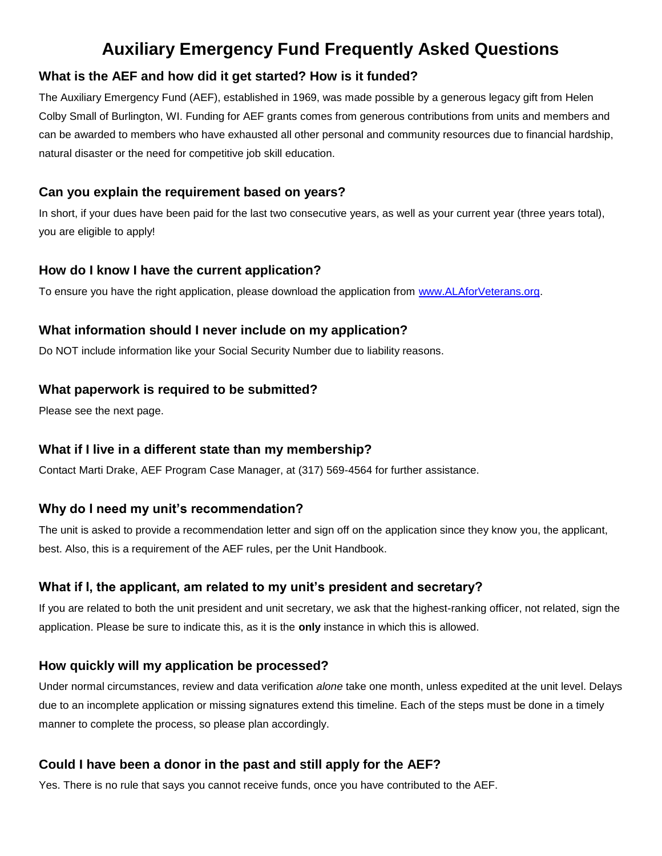# **Auxiliary Emergency Fund Frequently Asked Questions**

## **What is the AEF and how did it get started? How is it funded?**

The Auxiliary Emergency Fund (AEF), established in 1969, was made possible by a generous legacy gift from Helen Colby Small of Burlington, WI. Funding for AEF grants comes from generous contributions from units and members and can be awarded to members who have exhausted all other personal and community resources due to financial hardship, natural disaster or the need for competitive job skill education.

## **Can you explain the requirement based on years?**

In short, if your dues have been paid for the last two consecutive years, as well as your current year (three years total), you are eligible to apply!

## **How do I know I have the current application?**

To ensure you have the right application, please download the application from [www.ALAforVeterans.org.](http://www.alaforveterans.org/)

## **What information should I never include on my application?**

Do NOT include information like your Social Security Number due to liability reasons.

## **What paperwork is required to be submitted?**

Please see the next page.

## **What if I live in a different state than my membership?**

Contact Marti Drake, AEF Program Case Manager, at (317) 569-4564 for further assistance.

## **Why do I need my unit's recommendation?**

The unit is asked to provide a recommendation letter and sign off on the application since they know you, the applicant, best. Also, this is a requirement of the AEF rules, per the Unit Handbook.

## **What if I, the applicant, am related to my unit's president and secretary?**

If you are related to both the unit president and unit secretary, we ask that the highest-ranking officer, not related, sign the application. Please be sure to indicate this, as it is the **only** instance in which this is allowed.

## **How quickly will my application be processed?**

Under normal circumstances, review and data verification *alone* take one month, unless expedited at the unit level. Delays due to an incomplete application or missing signatures extend this timeline. Each of the steps must be done in a timely manner to complete the process, so please plan accordingly.

## **Could I have been a donor in the past and still apply for the AEF?**

Yes. There is no rule that says you cannot receive funds, once you have contributed to the AEF.